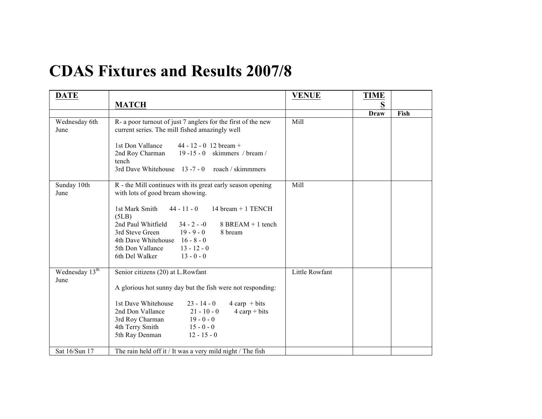## **CDAS Fixtures and Results 2007/8**

| <b>DATE</b>                        |                                                                                                                | <b>VENUE</b>   | <b>TIME</b> |      |
|------------------------------------|----------------------------------------------------------------------------------------------------------------|----------------|-------------|------|
|                                    | <b>MATCH</b>                                                                                                   |                | S           |      |
|                                    |                                                                                                                |                | Draw        | Fish |
| Wednesday 6th<br>June              | R- a poor turnout of just 7 anglers for the first of the new<br>current series. The mill fished amazingly well | Mill           |             |      |
|                                    | 1st Don Vallance<br>$44 - 12 - 0$ 12 bream +<br>2nd Roy Charman<br>19 -15 - 0 skimmers / bream /<br>tench      |                |             |      |
|                                    | 3rd Dave Whitehouse $13 - 7 - 0$<br>roach / skimmmers                                                          |                |             |      |
| Sunday 10th<br>June                | R - the Mill continues with its great early season opening<br>with lots of good bream showing.                 | Mill           |             |      |
|                                    | 1st Mark Smith<br>$44 - 11 - 0$<br>14 bream $+$ 1 TENCH<br>(5LB)                                               |                |             |      |
|                                    | 2nd Paul Whitfield<br>$34 - 2 - 0$<br>$8$ BREAM $+$ 1 tench<br>$19 - 9 - 0$<br>3rd Steve Green<br>8 bream      |                |             |      |
|                                    | $16 - 8 - 0$<br>4th Dave Whitehouse<br>$13 - 12 - 0$<br>5th Don Vallance                                       |                |             |      |
|                                    | 6th Del Walker<br>$13 - 0 - 0$                                                                                 |                |             |      |
| Wednesday 13 <sup>th</sup><br>June | Senior citizens (20) at L.Rowfant                                                                              | Little Rowfant |             |      |
|                                    | A glorious hot sunny day but the fish were not responding:                                                     |                |             |      |
|                                    | 1st Dave Whitehouse<br>$23 - 14 - 0$<br>$4 \text{ carp} + \text{bits}$                                         |                |             |      |
|                                    | $21 - 10 - 0$<br>2nd Don Vallance<br>$4 \text{ carp} + \text{bits}$                                            |                |             |      |
|                                    | 3rd Roy Charman<br>$19 - 0 - 0$                                                                                |                |             |      |
|                                    | $15 - 0 - 0$<br>4th Terry Smith<br>5th Ray Denman<br>$12 - 15 - 0$                                             |                |             |      |
| Sat 16/Sun 17                      | The rain held off it / It was a very mild night / The fish                                                     |                |             |      |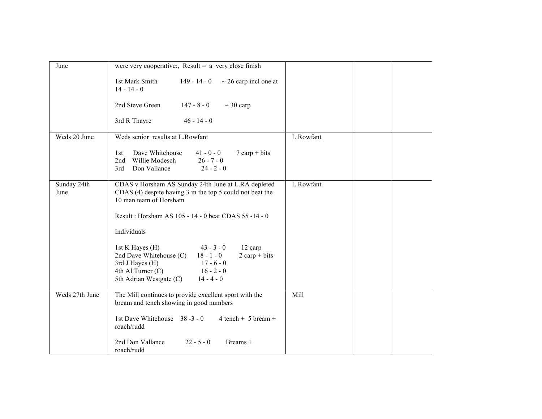| June           |                                                                                     |           |  |
|----------------|-------------------------------------------------------------------------------------|-----------|--|
|                | were very cooperative:, $Result = a$ very close finish                              |           |  |
|                | 1st Mark Smith<br>$\sim$ 26 carp incl one at<br>149 - 14 - 0                        |           |  |
|                | $14 - 14 - 0$                                                                       |           |  |
|                |                                                                                     |           |  |
|                | 2nd Steve Green<br>$147 - 8 - 0$<br>$\sim$ 30 carp                                  |           |  |
|                |                                                                                     |           |  |
|                | $46 - 14 - 0$<br>3rd R Thayre                                                       |           |  |
|                |                                                                                     |           |  |
| Weds 20 June   | Weds senior results at L.Rowfant                                                    | L.Rowfant |  |
|                |                                                                                     |           |  |
|                | Dave Whitehouse<br>$41 - 0 - 0$<br>$7$ carp + bits<br>1st                           |           |  |
|                | Willie Modesch<br>$26 - 7 - 0$<br>2nd                                               |           |  |
|                | Don Vallance<br>$24 - 2 - 0$<br>3rd                                                 |           |  |
|                |                                                                                     |           |  |
| Sunday 24th    | CDAS v Horsham AS Sunday 24th June at L.RA depleted                                 | L.Rowfant |  |
| June           | CDAS (4) despite having 3 in the top 5 could not beat the<br>10 man team of Horsham |           |  |
|                |                                                                                     |           |  |
|                | Result: Horsham AS 105 - 14 - 0 beat CDAS 55 -14 - 0                                |           |  |
|                |                                                                                     |           |  |
|                | Individuals                                                                         |           |  |
|                |                                                                                     |           |  |
|                | 1st K Hayes (H)<br>$43 - 3 - 0$<br>12 carp                                          |           |  |
|                | 2nd Dave Whitehouse (C)<br>$18 - 1 - 0$<br>$2 \text{ carp} + \text{bits}$           |           |  |
|                | $17 - 6 - 0$<br>3rd J Hayes (H)                                                     |           |  |
|                | 4th Al Turner (C)<br>$16 - 2 - 0$                                                   |           |  |
|                | 5th Adrian Westgate (C)<br>$14 - 4 - 0$                                             |           |  |
|                |                                                                                     |           |  |
| Weds 27th June | The Mill continues to provide excellent sport with the                              | Mill      |  |
|                | bream and tench showing in good numbers                                             |           |  |
|                |                                                                                     |           |  |
|                | 1st Dave Whitehouse 38-3-0<br>$4 \text{ tench} + 5 \text{ bream} +$<br>roach/rudd   |           |  |
|                |                                                                                     |           |  |
|                | 2nd Don Vallance<br>$22 - 5 - 0$<br>Breams $+$                                      |           |  |
|                | roach/rudd                                                                          |           |  |
|                |                                                                                     |           |  |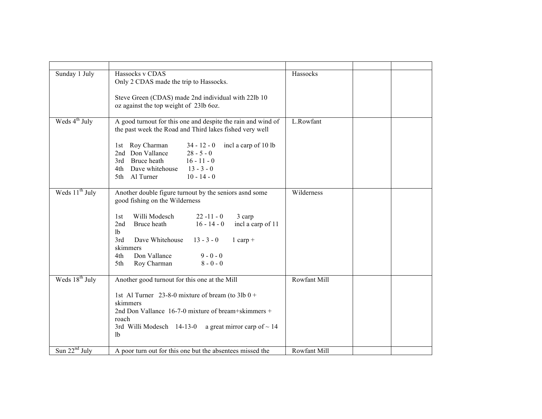| Sunday 1 July              | Hassocks v CDAS<br>Only 2 CDAS made the trip to Hassocks.<br>Steve Green (CDAS) made 2nd individual with 22lb 10<br>oz against the top weight of 23lb 6oz.                                                                                                                                                                                                   | Hassocks     |
|----------------------------|--------------------------------------------------------------------------------------------------------------------------------------------------------------------------------------------------------------------------------------------------------------------------------------------------------------------------------------------------------------|--------------|
| Weds 4 <sup>th</sup> July  | A good turnout for this one and despite the rain and wind of<br>the past week the Road and Third lakes fished very well<br>1st Roy Charman<br>$34 - 12 - 0$<br>incl a carp of 10 lb<br>2nd Don Vallance<br>$28 - 5 - 0$<br>Bruce heath<br>$16 - 11 - 0$<br>3rd<br>4th Dave whitehouse<br>$13 - 3 - 0$<br>5th Al Turner<br>$10 - 14 - 0$                      | L.Rowfant    |
| Weds 11 <sup>th</sup> July | Another double figure turnout by the seniors asnd some<br>good fishing on the Wilderness<br>Willi Modesch<br>$22 - 11 - 0$<br>1st<br>3 carp<br>Bruce heath<br>$16 - 14 - 0$<br>incl a carp of 11<br>2nd<br>lb<br>3rd<br>Dave Whitehouse<br>$13 - 3 - 0$<br>$1$ carp +<br>skimmers<br>Don Vallance<br>$9 - 0 - 0$<br>4th<br>Roy Charman<br>$8 - 0 - 0$<br>5th | Wilderness   |
| Weds 18 <sup>th</sup> July | Another good turnout for this one at the Mill<br>1st Al Turner 23-8-0 mixture of bream (to 3lb $0 +$<br>skimmers<br>2nd Don Vallance 16-7-0 mixture of bream+skimmers +<br>roach<br>3rd Willi Modesch 14-13-0 a great mirror carp of $\sim$ 14<br><sup>1</sup>                                                                                               | Rowfant Mill |
| Sun $22nd$ July            | A poor turn out for this one but the absentees missed the                                                                                                                                                                                                                                                                                                    | Rowfant Mill |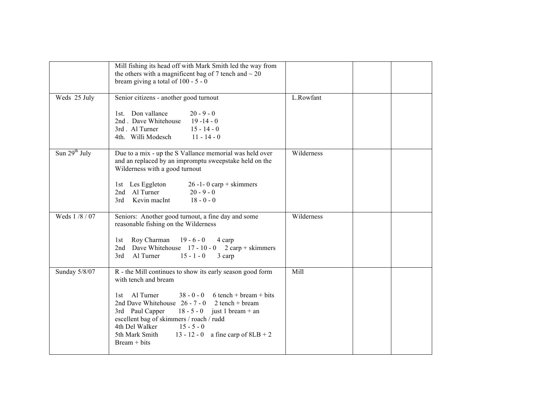|                 | Mill fishing its head off with Mark Smith led the way from<br>the others with a magnificent bag of 7 tench and $\sim$ 20<br>bream giving a total of $100 - 5 - 0$                                                                                                                                                                                                                                              |            |  |
|-----------------|----------------------------------------------------------------------------------------------------------------------------------------------------------------------------------------------------------------------------------------------------------------------------------------------------------------------------------------------------------------------------------------------------------------|------------|--|
| Weds 25 July    | Senior citizens - another good turnout<br>1st. Don vallance<br>$20 - 9 - 0$<br>2nd. Dave Whitehouse<br>$19 - 14 - 0$<br>3rd. Al Turner<br>$15 - 14 - 0$<br>4th. Willi Modesch<br>$11 - 14 - 0$                                                                                                                                                                                                                 | L.Rowfant  |  |
| Sun $29th$ July | Due to a mix - up the S Vallance memorial was held over<br>and an replaced by an impromptu sweepstake held on the<br>Wilderness with a good turnout<br>1st Les Eggleton<br>$26 - 1 - 0$ carp + skimmers<br>2nd Al Turner<br>$20 - 9 - 0$<br>Kevin macInt<br>$18 - 0 - 0$<br>3rd                                                                                                                                | Wilderness |  |
| Weds 1/8/07     | Seniors: Another good turnout, a fine day and some<br>reasonable fishing on the Wilderness<br>Roy Charman<br>$19 - 6 - 0$<br>4 carp<br>1st<br>2nd Dave Whitehouse $17 - 10 - 0$ 2 carp + skimmers<br>3rd<br>Al Turner<br>$15 - 1 - 0$<br>3 carp                                                                                                                                                                | Wilderness |  |
| Sunday 5/8/07   | R - the Mill continues to show its early season good form<br>with tench and bream<br>Al Turner<br>$38 - 0 - 0$ 6 tench + bream + bits<br>1st.<br>2nd Dave Whitehouse $26 - 7 - 0$ 2 tench + bream<br>3rd Paul Capper<br>$18 - 5 - 0$ just 1 bream + an<br>escellent bag of skimmers / roach / rudd<br>4th Del Walker<br>$15 - 5 - 0$<br>5th Mark Smith<br>13 - 12 - 0 a fine carp of $8LB + 2$<br>Bream + bits | Mill       |  |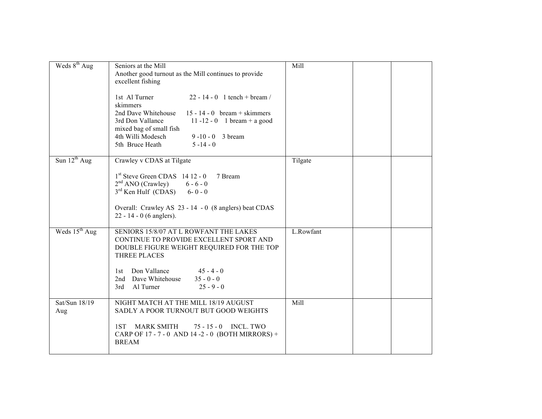| Weds $8^{th}$ Aug    | Seniors at the Mill<br>Another good turnout as the Mill continues to provide<br>excellent fishing                                                                                                                                                                                   | Mill      |  |
|----------------------|-------------------------------------------------------------------------------------------------------------------------------------------------------------------------------------------------------------------------------------------------------------------------------------|-----------|--|
|                      | 1st Al Turner<br>$22 - 14 - 0$ 1 tench + bream /<br>skimmers<br>2nd Dave Whitehouse<br>$15 - 14 - 0$ bream + skimmers<br>3rd Don Vallance<br>11 -12 - 0 1 bream + a good<br>mixed bag of small fish<br>$9 - 10 - 0$ 3 bream<br>4th Willi Modesch<br>5th Bruce Heath<br>$5 - 14 - 0$ |           |  |
| Sun $12^{th}$ Aug    | Crawley v CDAS at Tilgate<br>$1st$ Steve Green CDAS 14 12 - 0<br>7 Bream<br>$2nd$ ANO (Crawley) 6 - 6 - 0<br>$3rd$ Ken Hulf (CDAS)<br>$6 - 0 - 0$<br>Overall: Crawley AS 23 - 14 - 0 (8 anglers) beat CDAS<br>$22 - 14 - 0$ (6 anglers).                                            | Tilgate   |  |
| Weds $15th$ Aug      | SENIORS 15/8/07 AT L ROWFANT THE LAKES<br>CONTINUE TO PROVIDE EXCELLENT SPORT AND<br>DOUBLE FIGURE WEIGHT REQUIRED FOR THE TOP<br><b>THREE PLACES</b><br>Don Vallance<br>$45 - 4 - 0$<br>1st.<br>2nd Dave Whitehouse<br>$35 - 0 - 0$<br>Al Turner<br>$25 - 9 - 0$<br>3rd            | L.Rowfant |  |
| Sat/Sun 18/19<br>Aug | NIGHT MATCH AT THE MILL 18/19 AUGUST<br>SADLY A POOR TURNOUT BUT GOOD WEIGHTS<br><b>MARK SMITH</b><br>75 - 15 - 0 INCL. TWO<br>1ST<br>CARP OF 17 - 7 - 0 AND 14 - 2 - 0 (BOTH MIRRORS) +<br><b>BREAM</b>                                                                            | Mill      |  |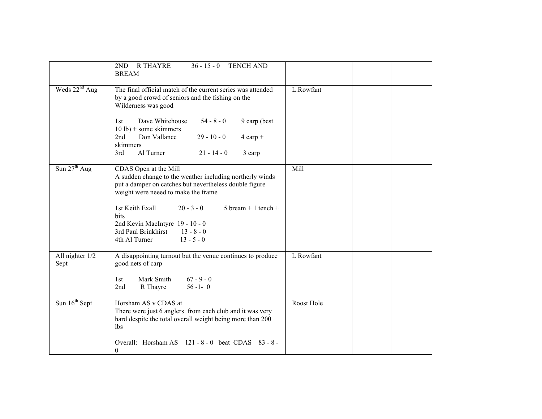|                         | <b>R THAYRE</b><br>36 - 15 - 0 TENCH AND<br>2ND<br><b>BREAM</b>                                                                                                                                                                                                                                                                |            |
|-------------------------|--------------------------------------------------------------------------------------------------------------------------------------------------------------------------------------------------------------------------------------------------------------------------------------------------------------------------------|------------|
| Weds $22nd$ Aug         | The final official match of the current series was attended<br>by a good crowd of seniors and the fishing on the<br>Wilderness was good                                                                                                                                                                                        | L.Rowfant  |
|                         | Dave Whitehouse<br>$54 - 8 - 0$<br>9 carp (best<br>1st<br>$10 lb$ + some skimmers                                                                                                                                                                                                                                              |            |
|                         | Don Vallance<br>2nd<br>$29 - 10 - 0$<br>$4 \text{ carp} +$<br>skimmers                                                                                                                                                                                                                                                         |            |
|                         | Al Turner<br>3rd<br>$21 - 14 - 0$<br>3 carp                                                                                                                                                                                                                                                                                    |            |
| Sun $27th$ Aug          | CDAS Open at the Mill<br>A sudden change to the weather including northerly winds<br>put a damper on catches but nevertheless double figure<br>weight were neeed to make the frame<br>1st Keith Exall<br>$20 - 3 - 0$<br>5 bream + 1 tench +<br>bits<br>2nd Kevin MacIntyre 19 - 10 - 0<br>3rd Paul Brinkhirst<br>$13 - 8 - 0$ | Mill       |
|                         | $13 - 5 - 0$<br>4th Al Turner                                                                                                                                                                                                                                                                                                  |            |
| All nighter 1/2<br>Sept | A disappointing turnout but the venue continues to produce<br>good nets of carp<br>$67 - 9 - 0$<br>Mark Smith<br>1st<br>$56 - 1 - 0$<br>2nd<br>R Thayre                                                                                                                                                                        | L Rowfant  |
| Sun $16th$ Sept         | Horsham AS v CDAS at<br>There were just 6 anglers from each club and it was very<br>hard despite the total overall weight being more than 200<br>lbs                                                                                                                                                                           | Roost Hole |
|                         | Overall: Horsham AS 121 - 8 - 0 beat CDAS 83 - 8 -<br>$\mathbf{0}$                                                                                                                                                                                                                                                             |            |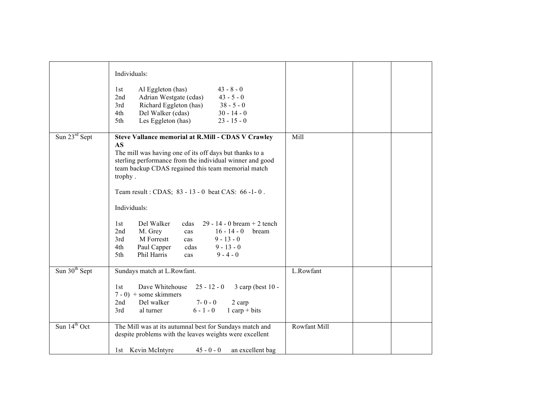|                           | Individuals:<br>Al Eggleton (has)<br>$43 - 8 - 0$<br>1st<br>2nd<br>Adrian Westgate (cdas)<br>$43 - 5 - 0$<br>3rd<br>Richard Eggleton (has)<br>$38 - 5 - 0$<br>4th<br>$30 - 14 - 0$<br>Del Walker (cdas)                                                                                                                                                                                                                                                                                                                                                                              |              |
|---------------------------|--------------------------------------------------------------------------------------------------------------------------------------------------------------------------------------------------------------------------------------------------------------------------------------------------------------------------------------------------------------------------------------------------------------------------------------------------------------------------------------------------------------------------------------------------------------------------------------|--------------|
|                           | 5th<br>Les Eggleton (has)<br>$23 - 15 - 0$                                                                                                                                                                                                                                                                                                                                                                                                                                                                                                                                           |              |
| Sun $23^{\text{rd}}$ Sept | Steve Vallance memorial at R.Mill - CDAS V Crawley<br><b>AS</b><br>The mill was having one of its off days but thanks to a<br>sterling performance from the individual winner and good<br>team backup CDAS regained this team memorial match<br>trophy.<br>Team result : CDAS; 83 - 13 - 0 beat CAS: 66 -1 - 0.<br>Individuals:<br>Del Walker<br>29 - 14 - 0 bream + 2 tench<br>1st<br>cdas<br>2nd<br>M. Grey<br>$16 - 14 - 0$<br>bream<br>cas<br>3rd<br>M Forrestt<br>$9 - 13 - 0$<br>cas<br>$9 - 13 - 0$<br>4th<br>Paul Capper<br>cdas<br>$9 - 4 - 0$<br>5th<br>Phil Harris<br>cas | Mill         |
| Sun $30th$ Sept           | Sundays match at L.Rowfant.                                                                                                                                                                                                                                                                                                                                                                                                                                                                                                                                                          | L.Rowfant    |
|                           | Dave Whitehouse<br>$25 - 12 - 0$<br>3 carp (best 10 -<br>1st<br>$7 - 0$ ) + some skimmers<br>$7 - 0 - 0$<br>Del walker<br>2 carp<br>2nd<br>$6 - 1 - 0$<br>al turner<br>1 carp + bits<br>3rd                                                                                                                                                                                                                                                                                                                                                                                          |              |
| Sun $14th$ Oct            | The Mill was at its autumnal best for Sundays match and<br>despite problems with the leaves weights were excellent<br>1st Kevin McIntyre<br>$45 - 0 - 0$<br>an excellent bag                                                                                                                                                                                                                                                                                                                                                                                                         | Rowfant Mill |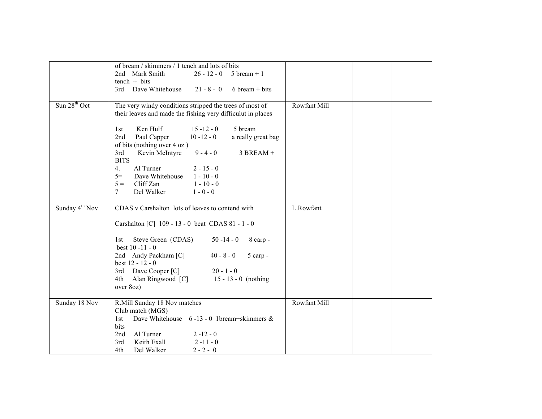| 2nd Mark Smith<br>$26 - 12 - 0$<br>$5 \text{ bream} + 1$ |                                                                                                                                                                                                                                                                                                                                                                                                                                                                                                                                                                                                                                                                                                            |
|----------------------------------------------------------|------------------------------------------------------------------------------------------------------------------------------------------------------------------------------------------------------------------------------------------------------------------------------------------------------------------------------------------------------------------------------------------------------------------------------------------------------------------------------------------------------------------------------------------------------------------------------------------------------------------------------------------------------------------------------------------------------------|
| $tench + bits$                                           |                                                                                                                                                                                                                                                                                                                                                                                                                                                                                                                                                                                                                                                                                                            |
|                                                          |                                                                                                                                                                                                                                                                                                                                                                                                                                                                                                                                                                                                                                                                                                            |
| The very windy conditions stripped the trees of most of  | Rowfant Mill                                                                                                                                                                                                                                                                                                                                                                                                                                                                                                                                                                                                                                                                                               |
|                                                          |                                                                                                                                                                                                                                                                                                                                                                                                                                                                                                                                                                                                                                                                                                            |
| Ken Hulf<br>$15 - 12 - 0$<br>5 bream<br>1st              |                                                                                                                                                                                                                                                                                                                                                                                                                                                                                                                                                                                                                                                                                                            |
|                                                          |                                                                                                                                                                                                                                                                                                                                                                                                                                                                                                                                                                                                                                                                                                            |
| $9 - 4 - 0$<br>$3$ BREAM +<br>3rd<br>Kevin McIntyre      |                                                                                                                                                                                                                                                                                                                                                                                                                                                                                                                                                                                                                                                                                                            |
|                                                          |                                                                                                                                                                                                                                                                                                                                                                                                                                                                                                                                                                                                                                                                                                            |
|                                                          |                                                                                                                                                                                                                                                                                                                                                                                                                                                                                                                                                                                                                                                                                                            |
|                                                          |                                                                                                                                                                                                                                                                                                                                                                                                                                                                                                                                                                                                                                                                                                            |
| $7\phantom{.0}$<br>Del Walker<br>$1 - 0 - 0$             |                                                                                                                                                                                                                                                                                                                                                                                                                                                                                                                                                                                                                                                                                                            |
| CDAS v Carshalton lots of leaves to contend with         | L.Rowfant                                                                                                                                                                                                                                                                                                                                                                                                                                                                                                                                                                                                                                                                                                  |
| Carshalton [C] 109 - 13 - 0 beat CDAS 81 - 1 - 0         |                                                                                                                                                                                                                                                                                                                                                                                                                                                                                                                                                                                                                                                                                                            |
| Steve Green (CDAS)<br>$50 - 14 - 0$<br>8 carp -<br>1st   |                                                                                                                                                                                                                                                                                                                                                                                                                                                                                                                                                                                                                                                                                                            |
| 2nd Andy Packham [C]<br>$40 - 8 - 0$<br>5 carp -         |                                                                                                                                                                                                                                                                                                                                                                                                                                                                                                                                                                                                                                                                                                            |
|                                                          |                                                                                                                                                                                                                                                                                                                                                                                                                                                                                                                                                                                                                                                                                                            |
| 4th<br>Alan Ringwood [C]<br>$15 - 13 - 0$ (nothing       |                                                                                                                                                                                                                                                                                                                                                                                                                                                                                                                                                                                                                                                                                                            |
| over 8oz)                                                |                                                                                                                                                                                                                                                                                                                                                                                                                                                                                                                                                                                                                                                                                                            |
| R.Mill Sunday 18 Nov matches                             | Rowfant Mill                                                                                                                                                                                                                                                                                                                                                                                                                                                                                                                                                                                                                                                                                               |
|                                                          |                                                                                                                                                                                                                                                                                                                                                                                                                                                                                                                                                                                                                                                                                                            |
|                                                          |                                                                                                                                                                                                                                                                                                                                                                                                                                                                                                                                                                                                                                                                                                            |
|                                                          |                                                                                                                                                                                                                                                                                                                                                                                                                                                                                                                                                                                                                                                                                                            |
|                                                          |                                                                                                                                                                                                                                                                                                                                                                                                                                                                                                                                                                                                                                                                                                            |
|                                                          |                                                                                                                                                                                                                                                                                                                                                                                                                                                                                                                                                                                                                                                                                                            |
|                                                          | of bream / skimmers / 1 tench and lots of bits<br>3rd Dave Whitehouse<br>$21 - 8 - 0$<br>$6 \text{ bream} + \text{bits}$<br>their leaves and made the fishing very difficulut in places<br>Paul Capper<br>$10 - 12 - 0$<br>a really great bag<br>2nd<br>of bits (nothing over 4 oz)<br><b>BITS</b><br>Al Turner<br>4.<br>$2 - 15 - 0$<br>Dave Whitehouse<br>$1 - 10 - 0$<br>$5=$<br>$5 =$<br>Cliff Zan<br>$1 - 10 - 0$<br>best $10 - 11 - 0$<br>best 12 - 12 - 0<br>3rd Dave Cooper [C]<br>$20 - 1 - 0$<br>Club match (MGS)<br>1st<br>Dave Whitehouse $6 - 13 - 0$ 1bream+skimmers &<br>bits<br>Al Turner<br>$2 - 12 - 0$<br>2nd<br>$2 - 11 - 0$<br>3rd<br>Keith Exall<br>4th<br>Del Walker<br>$2 - 2 - 0$ |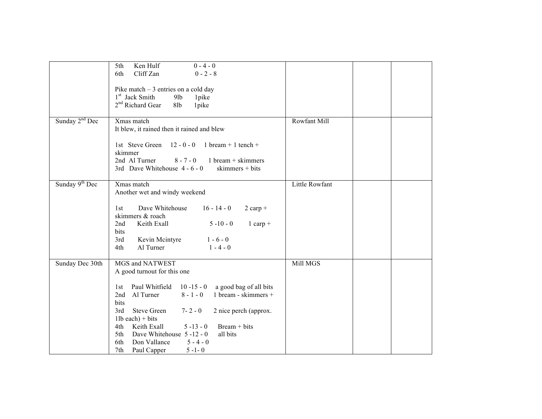|                            | Ken Hulf<br>$0 - 4 - 0$<br>5th                                        |                |
|----------------------------|-----------------------------------------------------------------------|----------------|
|                            | Cliff Zan<br>6th<br>$0 - 2 - 8$                                       |                |
|                            |                                                                       |                |
|                            | Pike match $-3$ entries on a cold day                                 |                |
|                            | 1 <sup>st</sup> Jack Smith<br>$9$ lb<br>1pike                         |                |
|                            |                                                                       |                |
|                            | $2nd$ Richard Gear<br>8lb<br>1pike                                    |                |
|                            |                                                                       |                |
| Sunday $2nd$ Dec           | Xmas match                                                            | Rowfant Mill   |
|                            | It blew, it rained then it rained and blew                            |                |
|                            |                                                                       |                |
|                            | 1st Steve Green $12 - 0 - 0$<br>$1 \text{ bream} + 1 \text{ tench} +$ |                |
|                            | skimmer                                                               |                |
|                            |                                                                       |                |
|                            | 2nd Al Turner<br>$8 - 7 - 0$<br>$1$ bream + skimmers                  |                |
|                            | 3rd Dave Whitehouse 4 - 6 - 0<br>$skimmers + bits$                    |                |
|                            |                                                                       |                |
| Sunday 9 <sup>th</sup> Dec | Xmas match                                                            | Little Rowfant |
|                            | Another wet and windy weekend                                         |                |
|                            |                                                                       |                |
|                            | Dave Whitehouse<br>$16 - 14 - 0$<br>$2$ carp +<br>1st                 |                |
|                            | skimmers & roach                                                      |                |
|                            |                                                                       |                |
|                            | $5 - 10 - 0$<br>2nd<br>Keith Exall<br>$1$ carp +                      |                |
|                            | bits                                                                  |                |
|                            | Kevin Mcintyre<br>$1 - 6 - 0$<br>3rd                                  |                |
|                            | $1 - 4 - 0$<br>4th<br>Al Turner                                       |                |
|                            |                                                                       |                |
| Sunday Dec 30th            | MGS and NATWEST                                                       | Mill MGS       |
|                            | A good turnout for this one                                           |                |
|                            |                                                                       |                |
|                            | Paul Whitfield<br>$10 - 15 - 0$<br>1st                                |                |
|                            | a good bag of all bits                                                |                |
|                            | $8 - 1 - 0$<br>1 bream - skimmers +<br>Al Turner<br>2nd               |                |
|                            | bits                                                                  |                |
|                            | <b>Steve Green</b><br>3rd<br>$7 - 2 - 0$<br>2 nice perch (approx.     |                |
|                            | $11b$ each) + bits                                                    |                |
|                            | Keith Exall<br>$5 - 13 - 0$<br>$Bream + bits$<br>4th                  |                |
|                            | Dave Whitehouse 5-12-0<br>all bits<br>5th                             |                |
|                            | $5 - 4 - 0$<br>Don Vallance<br>6th                                    |                |
|                            | 7th<br>Paul Capper<br>$5 - 1 - 0$                                     |                |
|                            |                                                                       |                |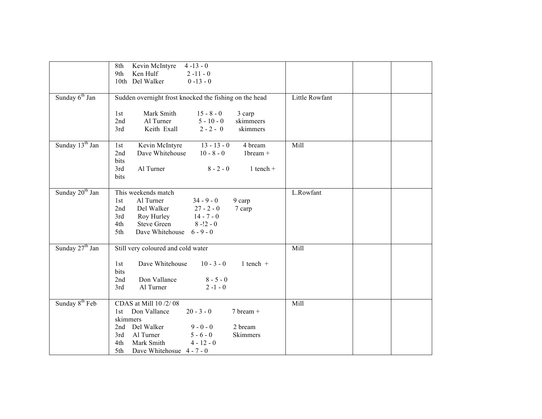|                             | Kevin McIntyre<br>$4 - 13 - 0$<br>8th                                              |                |
|-----------------------------|------------------------------------------------------------------------------------|----------------|
|                             | Ken Hulf<br>$2 - 11 - 0$<br>9th                                                    |                |
|                             | 10th Del Walker<br>$0 - 13 - 0$                                                    |                |
|                             |                                                                                    |                |
| Sunday 6 <sup>th</sup> Jan  | Sudden overnight frost knocked the fishing on the head                             | Little Rowfant |
|                             |                                                                                    |                |
|                             | Mark Smith<br>$15 - 8 - 0$<br>1st<br>3 carp                                        |                |
|                             | $5 - 10 - 0$<br>2nd<br>Al Turner<br>skimmeers                                      |                |
|                             | Keith Exall<br>$2 - 2 - 0$<br>skimmers<br>3rd                                      |                |
| Sunday 13 <sup>th</sup> Jan | $13 - 13 - 0$<br>Kevin McIntyre<br>4 bream<br>1st                                  | Mill           |
|                             | $1$ bream +<br>2nd<br>Dave Whitehouse<br>$10 - 8 - 0$                              |                |
|                             | bits                                                                               |                |
|                             | Al Turner<br>3rd<br>$8 - 2 - 0$<br>$1$ tench +                                     |                |
|                             | bits                                                                               |                |
|                             |                                                                                    |                |
| Sunday 20 <sup>th</sup> Jan | This weekends match                                                                | L.Rowfant      |
|                             | Al Turner<br>$34 - 9 - 0$<br>9 carp<br>1st                                         |                |
|                             | $27 - 2 - 0$<br>2nd<br>Del Walker<br>7 carp                                        |                |
|                             | 3rd<br>Roy Hurley<br>$14 - 7 - 0$                                                  |                |
|                             | 4th<br><b>Steve Green</b><br>$8 - 12 - 0$<br>Dave Whitehouse<br>$6 - 9 - 0$<br>5th |                |
|                             |                                                                                    |                |
| Sunday 27 <sup>th</sup> Jan | Still very coloured and cold water                                                 | Mill           |
|                             |                                                                                    |                |
|                             | Dave Whitehouse<br>$10 - 3 - 0$<br>1 tench $+$<br>1st                              |                |
|                             | bits                                                                               |                |
|                             | Don Vallance<br>$8 - 5 - 0$<br>2nd                                                 |                |
|                             | $2 - 1 - 0$<br>3rd<br>Al Turner                                                    |                |
| Sunday 8 <sup>th</sup> Feb  | CDAS at Mill 10 /2/08                                                              | Mill           |
|                             | $20 - 3 - 0$<br>$7 \text{ bream} +$<br>Don Vallance<br>1st                         |                |
|                             | skimmers                                                                           |                |
|                             | 2nd Del Walker<br>$9 - 0 - 0$<br>2 bream                                           |                |
|                             | Al Turner<br>$5 - 6 - 0$<br>Skimmers<br>3rd                                        |                |
|                             | 4th<br>Mark Smith<br>$4 - 12 - 0$                                                  |                |
|                             | 5th<br>Dave Whitehosue 4 - 7 - 0                                                   |                |